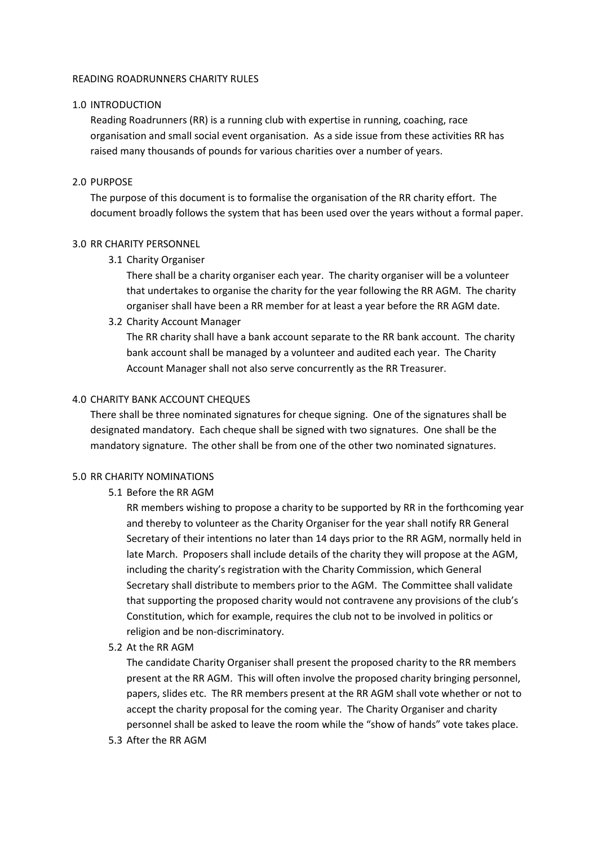### READING ROADRUNNERS CHARITY RULES

## 1.0 INTRODUCTION

Reading Roadrunners (RR) is a running club with expertise in running, coaching, race organisation and small social event organisation. As a side issue from these activities RR has raised many thousands of pounds for various charities over a number of years.

## 2.0 PURPOSE

The purpose of this document is to formalise the organisation of the RR charity effort. The document broadly follows the system that has been used over the years without a formal paper.

### 3.0 RR CHARITY PERSONNEL

3.1 Charity Organiser

There shall be a charity organiser each year. The charity organiser will be a volunteer that undertakes to organise the charity for the year following the RR AGM. The charity organiser shall have been a RR member for at least a year before the RR AGM date.

3.2 Charity Account Manager

The RR charity shall have a bank account separate to the RR bank account. The charity bank account shall be managed by a volunteer and audited each year. The Charity Account Manager shall not also serve concurrently as the RR Treasurer.

### 4.0 CHARITY BANK ACCOUNT CHEQUES

There shall be three nominated signatures for cheque signing. One of the signatures shall be designated mandatory. Each cheque shall be signed with two signatures. One shall be the mandatory signature. The other shall be from one of the other two nominated signatures.

#### 5.0 RR CHARITY NOMINATIONS

5.1 Before the RR AGM

RR members wishing to propose a charity to be supported by RR in the forthcoming year and thereby to volunteer as the Charity Organiser for the year shall notify RR General Secretary of their intentions no later than 14 days prior to the RR AGM, normally held in late March. Proposers shall include details of the charity they will propose at the AGM, including the charity's registration with the Charity Commission, which General Secretary shall distribute to members prior to the AGM. The Committee shall validate that supporting the proposed charity would not contravene any provisions of the club's Constitution, which for example, requires the club not to be involved in politics or religion and be non-discriminatory.

5.2 At the RR AGM

The candidate Charity Organiser shall present the proposed charity to the RR members present at the RR AGM. This will often involve the proposed charity bringing personnel, papers, slides etc. The RR members present at the RR AGM shall vote whether or not to accept the charity proposal for the coming year. The Charity Organiser and charity personnel shall be asked to leave the room while the "show of hands" vote takes place.

5.3 After the RR AGM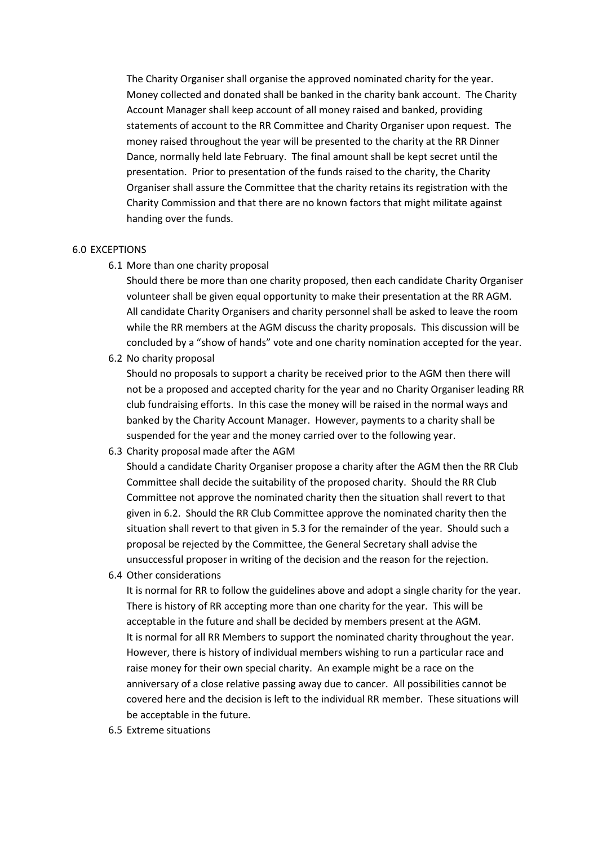The Charity Organiser shall organise the approved nominated charity for the year. Money collected and donated shall be banked in the charity bank account. The Charity Account Manager shall keep account of all money raised and banked, providing statements of account to the RR Committee and Charity Organiser upon request. The money raised throughout the year will be presented to the charity at the RR Dinner Dance, normally held late February. The final amount shall be kept secret until the presentation. Prior to presentation of the funds raised to the charity, the Charity Organiser shall assure the Committee that the charity retains its registration with the Charity Commission and that there are no known factors that might militate against handing over the funds.

#### 6.0 EXCEPTIONS

6.1 More than one charity proposal

Should there be more than one charity proposed, then each candidate Charity Organiser volunteer shall be given equal opportunity to make their presentation at the RR AGM. All candidate Charity Organisers and charity personnel shall be asked to leave the room while the RR members at the AGM discuss the charity proposals. This discussion will be concluded by a "show of hands" vote and one charity nomination accepted for the year.

6.2 No charity proposal

Should no proposals to support a charity be received prior to the AGM then there will not be a proposed and accepted charity for the year and no Charity Organiser leading RR club fundraising efforts. In this case the money will be raised in the normal ways and banked by the Charity Account Manager. However, payments to a charity shall be suspended for the year and the money carried over to the following year.

6.3 Charity proposal made after the AGM

Should a candidate Charity Organiser propose a charity after the AGM then the RR Club Committee shall decide the suitability of the proposed charity. Should the RR Club Committee not approve the nominated charity then the situation shall revert to that given in 6.2. Should the RR Club Committee approve the nominated charity then the situation shall revert to that given in 5.3 for the remainder of the year. Should such a proposal be rejected by the Committee, the General Secretary shall advise the unsuccessful proposer in writing of the decision and the reason for the rejection.

# 6.4 Other considerations

It is normal for RR to follow the guidelines above and adopt a single charity for the year. There is history of RR accepting more than one charity for the year. This will be acceptable in the future and shall be decided by members present at the AGM. It is normal for all RR Members to support the nominated charity throughout the year. However, there is history of individual members wishing to run a particular race and raise money for their own special charity. An example might be a race on the anniversary of a close relative passing away due to cancer. All possibilities cannot be covered here and the decision is left to the individual RR member. These situations will be acceptable in the future.

6.5 Extreme situations